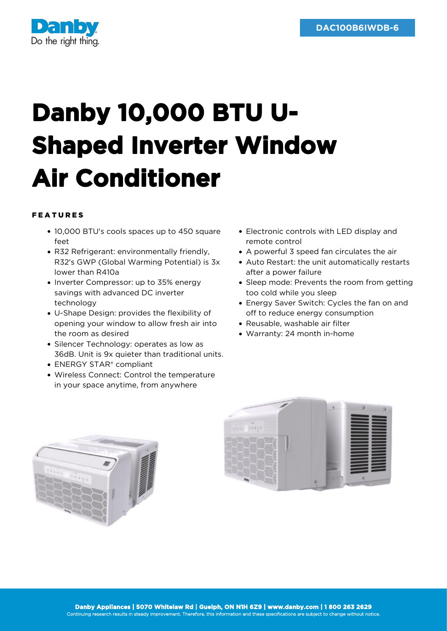

## **Danby 10,000 BTU U-Shaped Inverter Window Air Conditioner**

## FEATURES

- 10,000 BTU's cools spaces up to 450 square feet
- R32 Refrigerant: environmentally friendly, R32's GWP (Global Warming Potential) is 3x lower than R410a
- Inverter Compressor: up to 35% energy savings with advanced DC inverter technology
- U-Shape Design: provides the flexibility of opening your window to allow fresh air into the room as desired
- Silencer Technology: operates as low as 36dB. Unit is 9x quieter than traditional units.
- **FNERGY STAR®** compliant
- Wireless Connect: Control the temperature in your space anytime, from anywhere
- Electronic controls with LED display and remote control
- A powerful 3 speed fan circulates the air
- Auto Restart: the unit automatically restarts after a power failure
- Sleep mode: Prevents the room from getting too cold while you sleep
- Energy Saver Switch: Cycles the fan on and off to reduce energy consumption
- Reusable, washable air filter
- Warranty: 24 month in-home